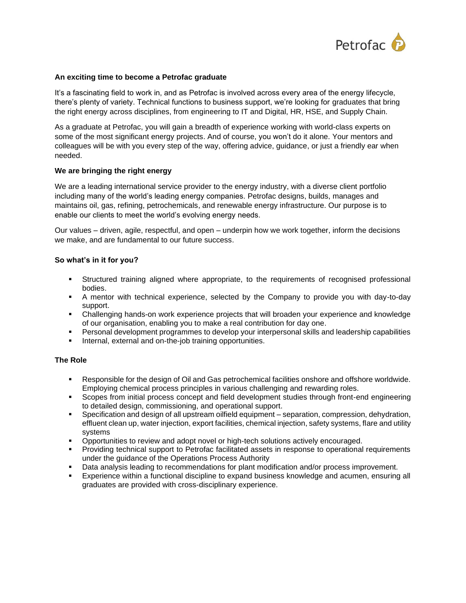

#### **An exciting time to become a Petrofac graduate**

It's a fascinating field to work in, and as Petrofac is involved across every area of the energy lifecycle, there's plenty of variety. Technical functions to business support, we're looking for graduates that bring the right energy across disciplines, from engineering to IT and Digital, HR, HSE, and Supply Chain.

As a graduate at Petrofac, you will gain a breadth of experience working with world-class experts on some of the most significant energy projects. And of course, you won't do it alone. Your mentors and colleagues will be with you every step of the way, offering advice, guidance, or just a friendly ear when needed.

#### **We are bringing the right energy**

We are a leading international service provider to the energy industry, with a diverse client portfolio including many of the world's leading energy companies. Petrofac designs, builds, manages and maintains oil, gas, refining, petrochemicals, and renewable energy infrastructure. Our purpose is to enable our clients to meet the world's evolving energy needs.

Our values – driven, agile, respectful, and open – underpin how we work together, inform the decisions we make, and are fundamental to our future success.

## **So what's in it for you?**

- **EXECT** Structured training aligned where appropriate, to the requirements of recognised professional bodies.
- A mentor with technical experience, selected by the Company to provide you with day-to-day support.
- Challenging hands-on work experience projects that will broaden your experience and knowledge of our organisation, enabling you to make a real contribution for day one.
- Personal development programmes to develop your interpersonal skills and leadership capabilities
- **EXECT** Internal, external and on-the-job training opportunities.

#### **The Role**

- Responsible for the design of Oil and Gas petrochemical facilities onshore and offshore worldwide. Employing chemical process principles in various challenging and rewarding roles.
- **•** Scopes from initial process concept and field development studies through front-end engineering to detailed design, commissioning, and operational support.
- Specification and design of all upstream oilfield equipment separation, compression, dehydration, effluent clean up, water injection, export facilities, chemical injection, safety systems, flare and utility systems
- **•** Opportunities to review and adopt novel or high-tech solutions actively encouraged.
- Providing technical support to Petrofac facilitated assets in response to operational requirements under the guidance of the Operations Process Authority
- **•** Data analysis leading to recommendations for plant modification and/or process improvement.
- Experience within a functional discipline to expand business knowledge and acumen, ensuring all graduates are provided with cross-disciplinary experience.